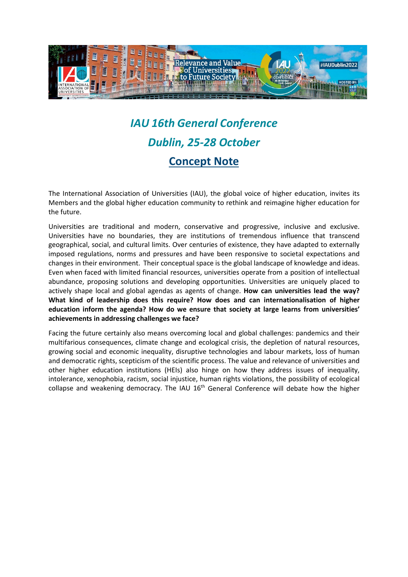

## *IAU 16th General Conference Dublin, 25-28 October*  **Concept Note**

The International Association of Universities (IAU), the global voice of higher education, invites its Members and the global higher education community to rethink and reimagine higher education for the future.

Universities are traditional and modern, conservative and progressive, inclusive and exclusive. Universities have no boundaries, they are institutions of tremendous influence that transcend geographical, social, and cultural limits. Over centuries of existence, they have adapted to externally imposed regulations, norms and pressures and have been responsive to societal expectations and changes in their environment. Their conceptual space is the global landscape of knowledge and ideas. Even when faced with limited financial resources, universities operate from a position of intellectual abundance, proposing solutions and developing opportunities. Universities are uniquely placed to actively shape local and global agendas as agents of change. **How can universities lead the way? What kind of leadership does this require? How does and can internationalisation of higher education inform the agenda? How do we ensure that society at large learns from universities' achievements in addressing challenges we face?**

Facing the future certainly also means overcoming local and global challenges: pandemics and their multifarious consequences, climate change and ecological crisis, the depletion of natural resources, growing social and economic inequality, disruptive technologies and labour markets, loss of human and democratic rights, scepticism of the scientific process. The value and relevance of universities and other higher education institutions (HEIs) also hinge on how they address issues of inequality, intolerance, xenophobia, racism, social injustice, human rights violations, the possibility of ecological collapse and weakening democracy. The IAU 16<sup>th</sup> General Conference will debate how the higher